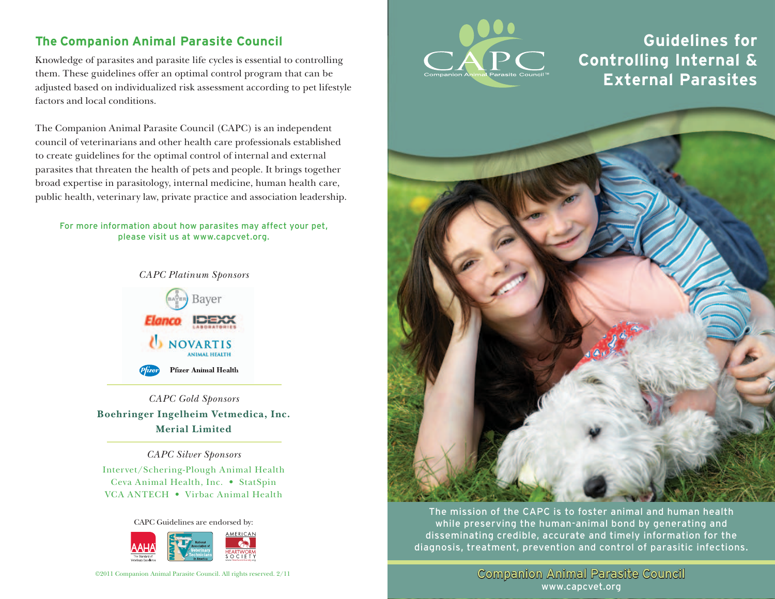## **The Companion Animal Parasite Council**

Knowledge of parasites and parasite life cycles is essential to controlling them. These guidelines offer an optimal control program that can be adjusted based on individualized risk assessment according to pet lifestyle factors and local conditions.

The Companion Animal Parasite Council (CAPC) is an independent council of veterinarians and other health care professionals established to create guidelines for the optimal control of internal and external parasites that threaten the health of pets and people. It brings together broad expertise in parasitology, internal medicine, human health care, public health, veterinary law, private practice and association leadership.

For more information about how parasites may affect your pet, please visit us at www.capcvet.org.



*CAPC Gold Sponsors* **Boehringer Ingelheim Vetmedica, Inc. Merial Limited**

#### *CAPC Silver Sponsors*

Intervet/Schering-Plough Animal Health Ceva Animal Health, Inc. • StatSpin VCA ANTECH • Virbac Animal Health

CAPC Guidelines are endorsed by:



©2011 Companion Animal Parasite Council. All rights reserved. 2/11



# **Guidelines for Controlling Internal & External Parasites**



The mission of the CAPC is to foster animal and human health while preserving the human-animal bond by generating and disseminating credible, accurate and timely information for the diagnosis, treatment, prevention and control of parasitic infections.

> Companion Animal Parasite Council www.capcvet.org